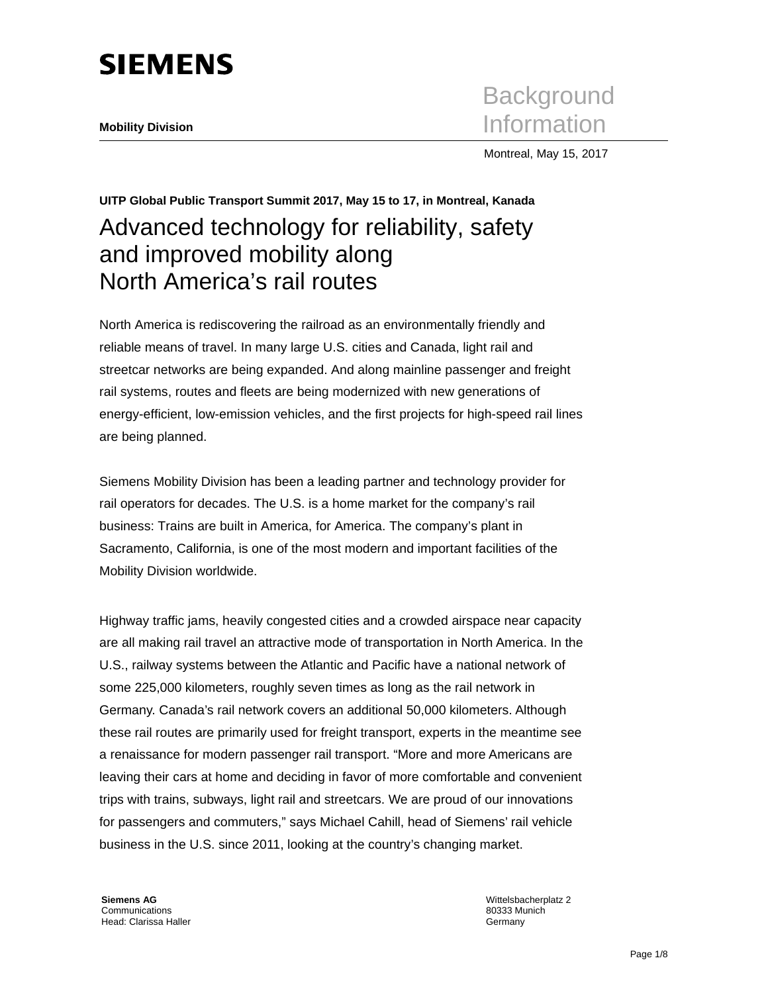# **SIEMENS**

**Background Mobility Division** Information

Montreal, May 15, 2017

# **UITP Global Public Transport Summit 2017, May 15 to 17, in Montreal, Kanada**  Advanced technology for reliability, safety and improved mobility along North America's rail routes

North America is rediscovering the railroad as an environmentally friendly and reliable means of travel. In many large U.S. cities and Canada, light rail and streetcar networks are being expanded. And along mainline passenger and freight rail systems, routes and fleets are being modernized with new generations of energy-efficient, low-emission vehicles, and the first projects for high-speed rail lines are being planned.

Siemens Mobility Division has been a leading partner and technology provider for rail operators for decades. The U.S. is a home market for the company's rail business: Trains are built in America, for America. The company's plant in Sacramento, California, is one of the most modern and important facilities of the Mobility Division worldwide.

Highway traffic jams, heavily congested cities and a crowded airspace near capacity are all making rail travel an attractive mode of transportation in North America. In the U.S., railway systems between the Atlantic and Pacific have a national network of some 225,000 kilometers, roughly seven times as long as the rail network in Germany. Canada's rail network covers an additional 50,000 kilometers. Although these rail routes are primarily used for freight transport, experts in the meantime see a renaissance for modern passenger rail transport. "More and more Americans are leaving their cars at home and deciding in favor of more comfortable and convenient trips with trains, subways, light rail and streetcars. We are proud of our innovations for passengers and commuters," says Michael Cahill, head of Siemens' rail vehicle business in the U.S. since 2011, looking at the country's changing market.

**Siemens AG**  Communications Head: Clarissa Haller Wittelsbacherplatz 2 80333 Munich Germany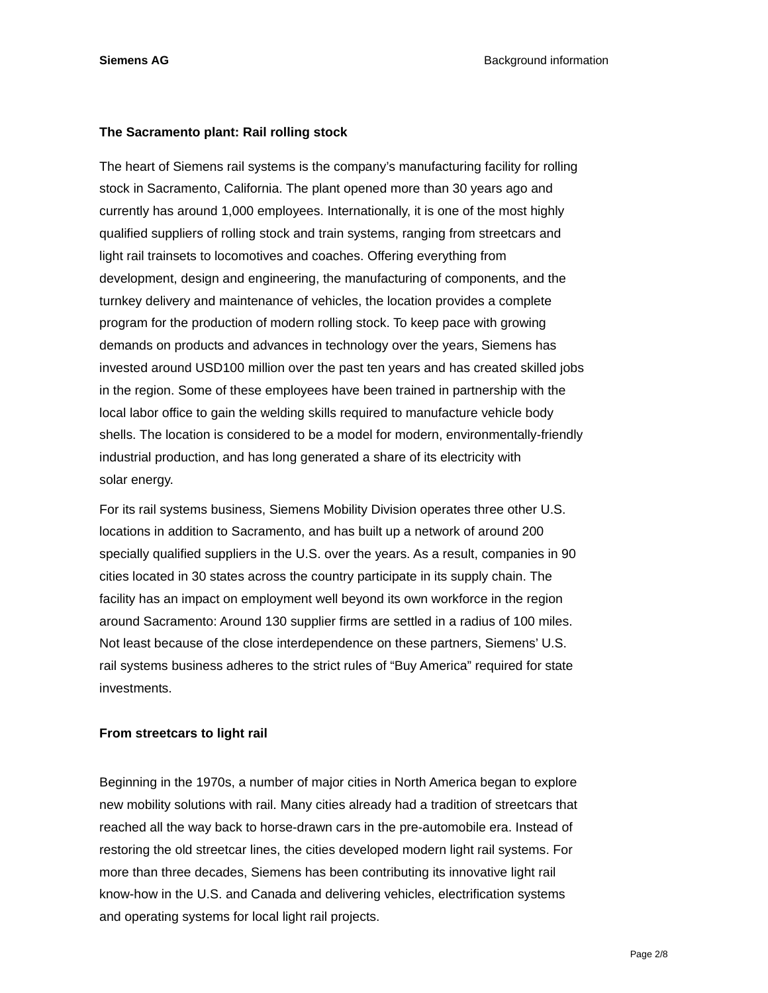#### **The Sacramento plant: Rail rolling stock**

The heart of Siemens rail systems is the company's manufacturing facility for rolling stock in Sacramento, California. The plant opened more than 30 years ago and currently has around 1,000 employees. Internationally, it is one of the most highly qualified suppliers of rolling stock and train systems, ranging from streetcars and light rail trainsets to locomotives and coaches. Offering everything from development, design and engineering, the manufacturing of components, and the turnkey delivery and maintenance of vehicles, the location provides a complete program for the production of modern rolling stock. To keep pace with growing demands on products and advances in technology over the years, Siemens has invested around USD100 million over the past ten years and has created skilled jobs in the region. Some of these employees have been trained in partnership with the local labor office to gain the welding skills required to manufacture vehicle body shells. The location is considered to be a model for modern, environmentally-friendly industrial production, and has long generated a share of its electricity with solar energy.

For its rail systems business, Siemens Mobility Division operates three other U.S. locations in addition to Sacramento, and has built up a network of around 200 specially qualified suppliers in the U.S. over the years. As a result, companies in 90 cities located in 30 states across the country participate in its supply chain. The facility has an impact on employment well beyond its own workforce in the region around Sacramento: Around 130 supplier firms are settled in a radius of 100 miles. Not least because of the close interdependence on these partners, Siemens' U.S. rail systems business adheres to the strict rules of "Buy America" required for state investments.

#### **From streetcars to light rail**

Beginning in the 1970s, a number of major cities in North America began to explore new mobility solutions with rail. Many cities already had a tradition of streetcars that reached all the way back to horse-drawn cars in the pre-automobile era. Instead of restoring the old streetcar lines, the cities developed modern light rail systems. For more than three decades, Siemens has been contributing its innovative light rail know-how in the U.S. and Canada and delivering vehicles, electrification systems and operating systems for local light rail projects.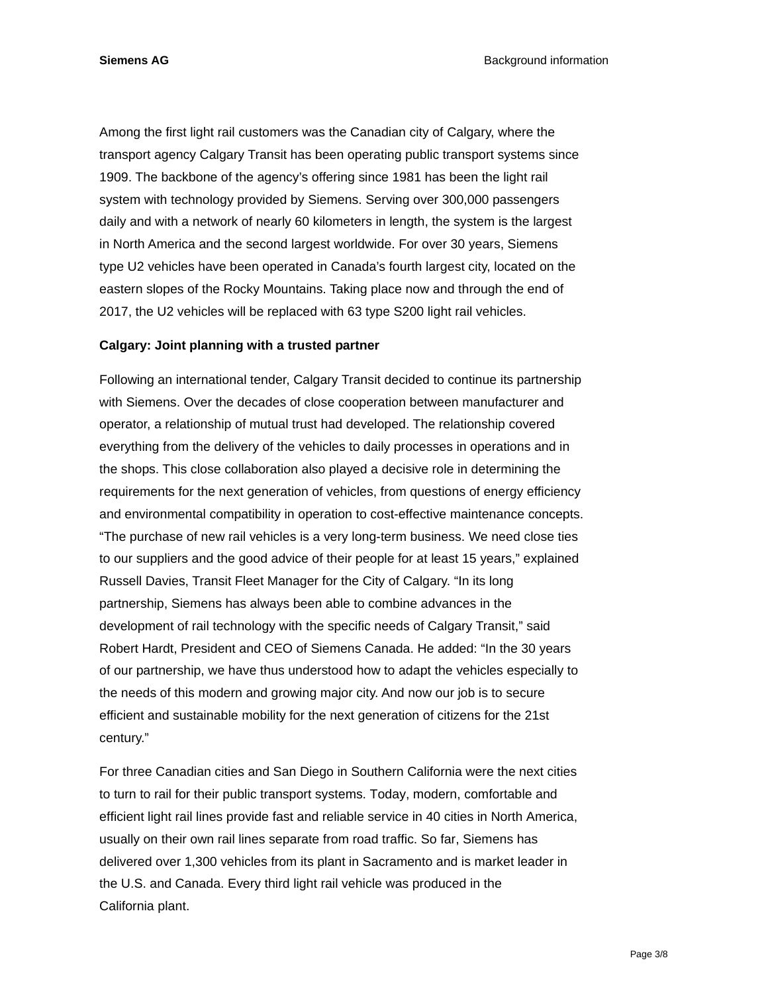Among the first light rail customers was the Canadian city of Calgary, where the transport agency Calgary Transit has been operating public transport systems since 1909. The backbone of the agency's offering since 1981 has been the light rail system with technology provided by Siemens. Serving over 300,000 passengers daily and with a network of nearly 60 kilometers in length, the system is the largest in North America and the second largest worldwide. For over 30 years, Siemens type U2 vehicles have been operated in Canada's fourth largest city, located on the eastern slopes of the Rocky Mountains. Taking place now and through the end of 2017, the U2 vehicles will be replaced with 63 type S200 light rail vehicles.

#### **Calgary: Joint planning with a trusted partner**

Following an international tender, Calgary Transit decided to continue its partnership with Siemens. Over the decades of close cooperation between manufacturer and operator, a relationship of mutual trust had developed. The relationship covered everything from the delivery of the vehicles to daily processes in operations and in the shops. This close collaboration also played a decisive role in determining the requirements for the next generation of vehicles, from questions of energy efficiency and environmental compatibility in operation to cost-effective maintenance concepts. "The purchase of new rail vehicles is a very long-term business. We need close ties to our suppliers and the good advice of their people for at least 15 years," explained Russell Davies, Transit Fleet Manager for the City of Calgary. "In its long partnership, Siemens has always been able to combine advances in the development of rail technology with the specific needs of Calgary Transit," said Robert Hardt, President and CEO of Siemens Canada. He added: "In the 30 years of our partnership, we have thus understood how to adapt the vehicles especially to the needs of this modern and growing major city. And now our job is to secure efficient and sustainable mobility for the next generation of citizens for the 21st century."

For three Canadian cities and San Diego in Southern California were the next cities to turn to rail for their public transport systems. Today, modern, comfortable and efficient light rail lines provide fast and reliable service in 40 cities in North America, usually on their own rail lines separate from road traffic. So far, Siemens has delivered over 1,300 vehicles from its plant in Sacramento and is market leader in the U.S. and Canada. Every third light rail vehicle was produced in the California plant.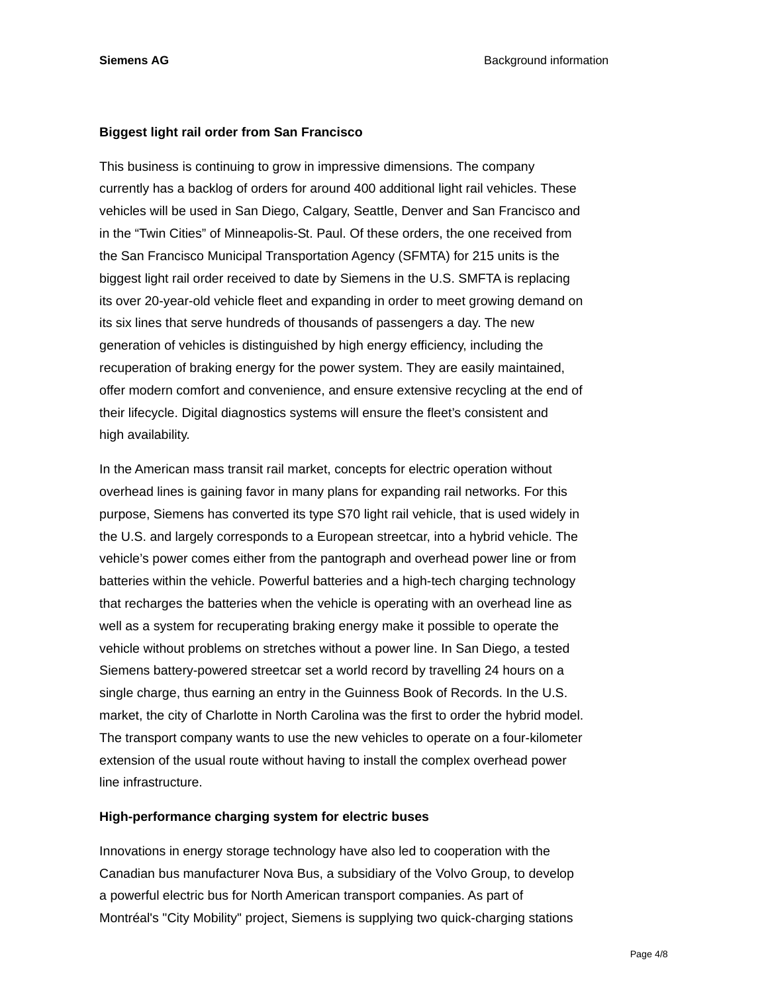#### **Biggest light rail order from San Francisco**

This business is continuing to grow in impressive dimensions. The company currently has a backlog of orders for around 400 additional light rail vehicles. These vehicles will be used in San Diego, Calgary, Seattle, Denver and San Francisco and in the "Twin Cities" of Minneapolis-St. Paul. Of these orders, the one received from the San Francisco Municipal Transportation Agency (SFMTA) for 215 units is the biggest light rail order received to date by Siemens in the U.S. SMFTA is replacing its over 20-year-old vehicle fleet and expanding in order to meet growing demand on its six lines that serve hundreds of thousands of passengers a day. The new generation of vehicles is distinguished by high energy efficiency, including the recuperation of braking energy for the power system. They are easily maintained, offer modern comfort and convenience, and ensure extensive recycling at the end of their lifecycle. Digital diagnostics systems will ensure the fleet's consistent and high availability.

In the American mass transit rail market, concepts for electric operation without overhead lines is gaining favor in many plans for expanding rail networks. For this purpose, Siemens has converted its type S70 light rail vehicle, that is used widely in the U.S. and largely corresponds to a European streetcar, into a hybrid vehicle. The vehicle's power comes either from the pantograph and overhead power line or from batteries within the vehicle. Powerful batteries and a high-tech charging technology that recharges the batteries when the vehicle is operating with an overhead line as well as a system for recuperating braking energy make it possible to operate the vehicle without problems on stretches without a power line. In San Diego, a tested Siemens battery-powered streetcar set a world record by travelling 24 hours on a single charge, thus earning an entry in the Guinness Book of Records. In the U.S. market, the city of Charlotte in North Carolina was the first to order the hybrid model. The transport company wants to use the new vehicles to operate on a four-kilometer extension of the usual route without having to install the complex overhead power line infrastructure.

#### **High-performance charging system for electric buses**

Innovations in energy storage technology have also led to cooperation with the Canadian bus manufacturer Nova Bus, a subsidiary of the Volvo Group, to develop a powerful electric bus for North American transport companies. As part of Montréal's "City Mobility" project, Siemens is supplying two quick-charging stations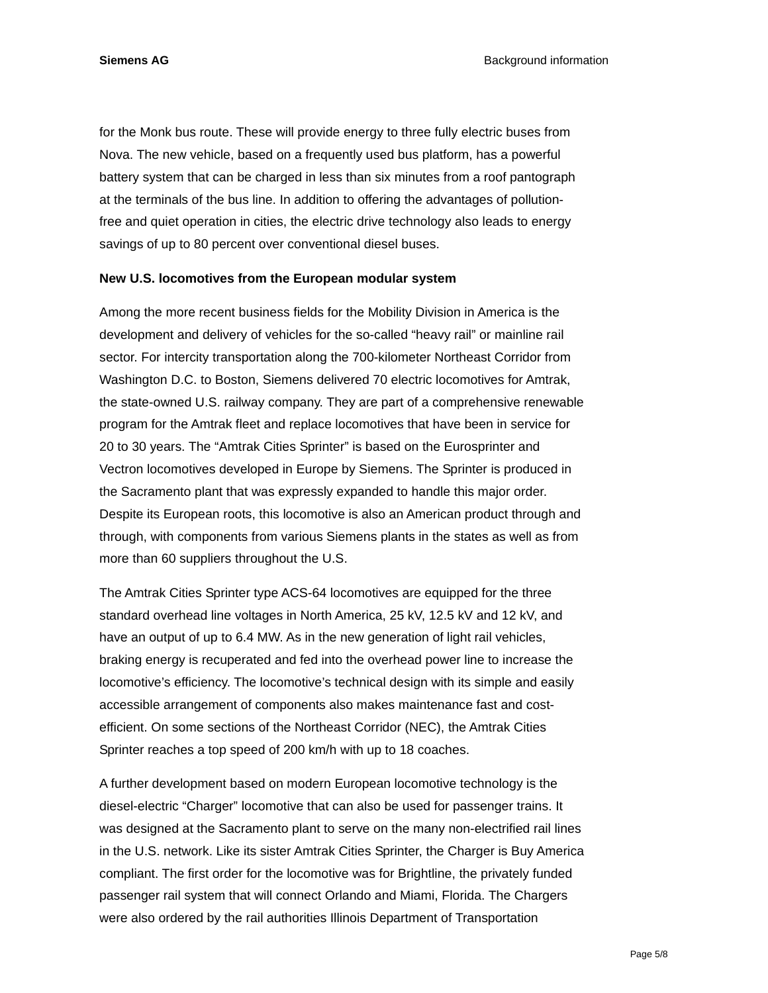for the Monk bus route. These will provide energy to three fully electric buses from Nova. The new vehicle, based on a frequently used bus platform, has a powerful battery system that can be charged in less than six minutes from a roof pantograph at the terminals of the bus line. In addition to offering the advantages of pollutionfree and quiet operation in cities, the electric drive technology also leads to energy savings of up to 80 percent over conventional diesel buses.

#### **New U.S. locomotives from the European modular system**

Among the more recent business fields for the Mobility Division in America is the development and delivery of vehicles for the so-called "heavy rail" or mainline rail sector. For intercity transportation along the 700-kilometer Northeast Corridor from Washington D.C. to Boston, Siemens delivered 70 electric locomotives for Amtrak, the state-owned U.S. railway company. They are part of a comprehensive renewable program for the Amtrak fleet and replace locomotives that have been in service for 20 to 30 years. The "Amtrak Cities Sprinter" is based on the Eurosprinter and Vectron locomotives developed in Europe by Siemens. The Sprinter is produced in the Sacramento plant that was expressly expanded to handle this major order. Despite its European roots, this locomotive is also an American product through and through, with components from various Siemens plants in the states as well as from more than 60 suppliers throughout the U.S.

The Amtrak Cities Sprinter type ACS-64 locomotives are equipped for the three standard overhead line voltages in North America, 25 kV, 12.5 kV and 12 kV, and have an output of up to 6.4 MW. As in the new generation of light rail vehicles, braking energy is recuperated and fed into the overhead power line to increase the locomotive's efficiency. The locomotive's technical design with its simple and easily accessible arrangement of components also makes maintenance fast and costefficient. On some sections of the Northeast Corridor (NEC), the Amtrak Cities Sprinter reaches a top speed of 200 km/h with up to 18 coaches.

A further development based on modern European locomotive technology is the diesel-electric "Charger" locomotive that can also be used for passenger trains. It was designed at the Sacramento plant to serve on the many non-electrified rail lines in the U.S. network. Like its sister Amtrak Cities Sprinter, the Charger is Buy America compliant. The first order for the locomotive was for Brightline, the privately funded passenger rail system that will connect Orlando and Miami, Florida. The Chargers were also ordered by the rail authorities Illinois Department of Transportation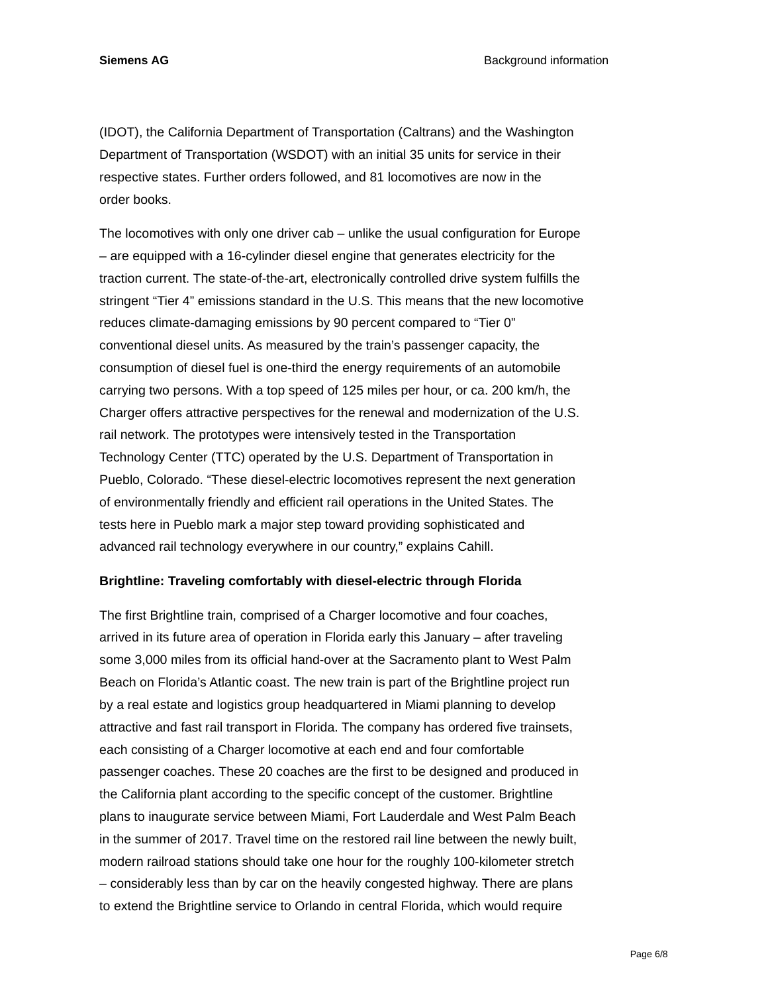**Siemens AG Background information Background information** 

(IDOT), the California Department of Transportation (Caltrans) and the Washington Department of Transportation (WSDOT) with an initial 35 units for service in their respective states. Further orders followed, and 81 locomotives are now in the order books.

The locomotives with only one driver cab – unlike the usual configuration for Europe – are equipped with a 16-cylinder diesel engine that generates electricity for the traction current. The state-of-the-art, electronically controlled drive system fulfills the stringent "Tier 4" emissions standard in the U.S. This means that the new locomotive reduces climate-damaging emissions by 90 percent compared to "Tier 0" conventional diesel units. As measured by the train's passenger capacity, the consumption of diesel fuel is one-third the energy requirements of an automobile carrying two persons. With a top speed of 125 miles per hour, or ca. 200 km/h, the Charger offers attractive perspectives for the renewal and modernization of the U.S. rail network. The prototypes were intensively tested in the Transportation Technology Center (TTC) operated by the U.S. Department of Transportation in Pueblo, Colorado. "These diesel-electric locomotives represent the next generation of environmentally friendly and efficient rail operations in the United States. The tests here in Pueblo mark a major step toward providing sophisticated and advanced rail technology everywhere in our country," explains Cahill.

#### **Brightline: Traveling comfortably with diesel-electric through Florida**

The first Brightline train, comprised of a Charger locomotive and four coaches, arrived in its future area of operation in Florida early this January – after traveling some 3,000 miles from its official hand-over at the Sacramento plant to West Palm Beach on Florida's Atlantic coast. The new train is part of the Brightline project run by a real estate and logistics group headquartered in Miami planning to develop attractive and fast rail transport in Florida. The company has ordered five trainsets, each consisting of a Charger locomotive at each end and four comfortable passenger coaches. These 20 coaches are the first to be designed and produced in the California plant according to the specific concept of the customer. Brightline plans to inaugurate service between Miami, Fort Lauderdale and West Palm Beach in the summer of 2017. Travel time on the restored rail line between the newly built, modern railroad stations should take one hour for the roughly 100-kilometer stretch – considerably less than by car on the heavily congested highway. There are plans to extend the Brightline service to Orlando in central Florida, which would require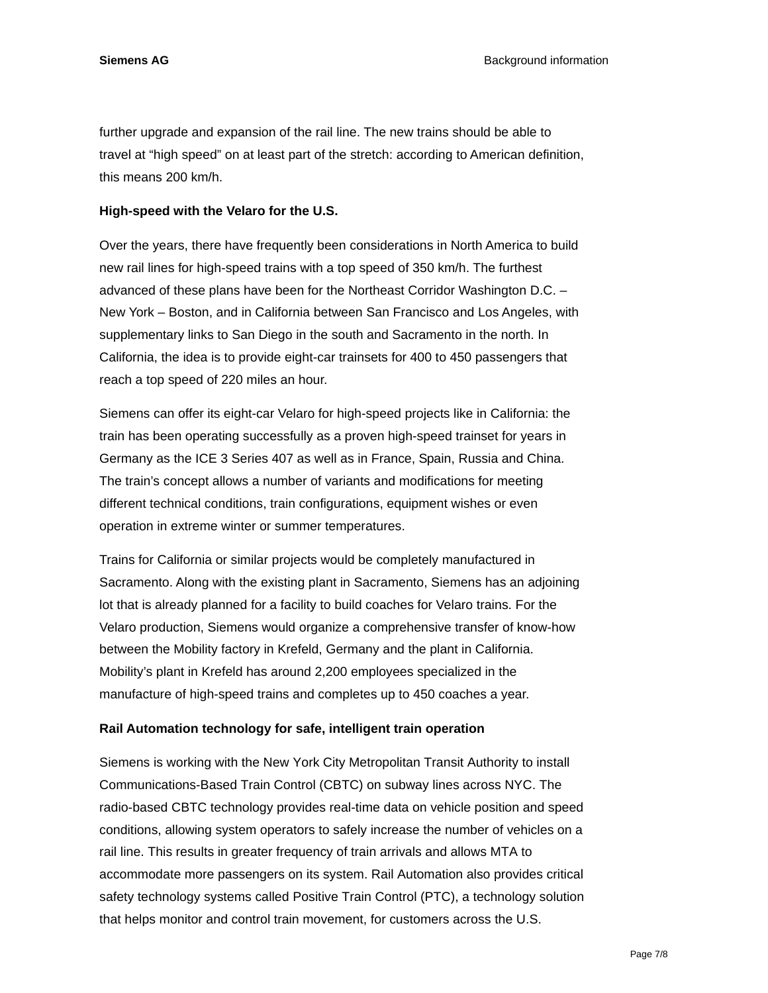**Siemens AG Background information Background information** 

further upgrade and expansion of the rail line. The new trains should be able to travel at "high speed" on at least part of the stretch: according to American definition, this means 200 km/h.

## **High-speed with the Velaro for the U.S.**

Over the years, there have frequently been considerations in North America to build new rail lines for high-speed trains with a top speed of 350 km/h. The furthest advanced of these plans have been for the Northeast Corridor Washington D.C. – New York – Boston, and in California between San Francisco and Los Angeles, with supplementary links to San Diego in the south and Sacramento in the north. In California, the idea is to provide eight-car trainsets for 400 to 450 passengers that reach a top speed of 220 miles an hour.

Siemens can offer its eight-car Velaro for high-speed projects like in California: the train has been operating successfully as a proven high-speed trainset for years in Germany as the ICE 3 Series 407 as well as in France, Spain, Russia and China. The train's concept allows a number of variants and modifications for meeting different technical conditions, train configurations, equipment wishes or even operation in extreme winter or summer temperatures.

Trains for California or similar projects would be completely manufactured in Sacramento. Along with the existing plant in Sacramento, Siemens has an adjoining lot that is already planned for a facility to build coaches for Velaro trains. For the Velaro production, Siemens would organize a comprehensive transfer of know-how between the Mobility factory in Krefeld, Germany and the plant in California. Mobility's plant in Krefeld has around 2,200 employees specialized in the manufacture of high-speed trains and completes up to 450 coaches a year.

## **Rail Automation technology for safe, intelligent train operation**

Siemens is working with the New York City Metropolitan Transit Authority to install Communications-Based Train Control (CBTC) on subway lines across NYC. The radio-based CBTC technology provides real-time data on vehicle position and speed conditions, allowing system operators to safely increase the number of vehicles on a rail line. This results in greater frequency of train arrivals and allows MTA to accommodate more passengers on its system. Rail Automation also provides critical safety technology systems called Positive Train Control (PTC), a technology solution that helps monitor and control train movement, for customers across the U.S.